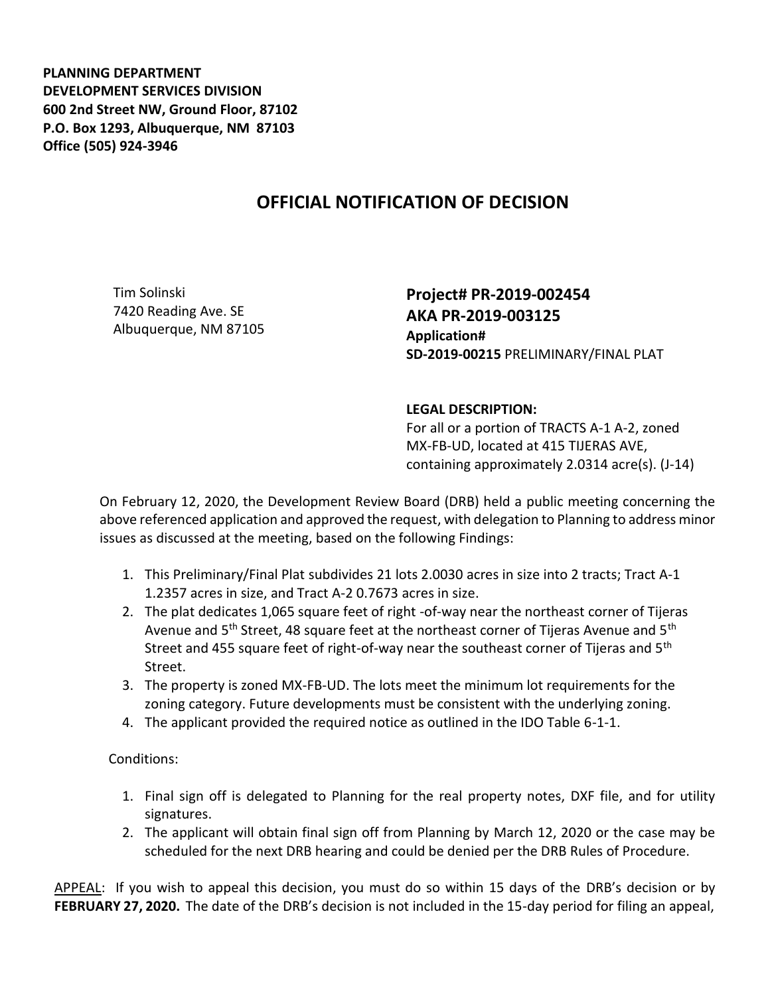**PLANNING DEPARTMENT DEVELOPMENT SERVICES DIVISION 600 2nd Street NW, Ground Floor, 87102 P.O. Box 1293, Albuquerque, NM 87103 Office (505) 924-3946** 

## **OFFICIAL NOTIFICATION OF DECISION**

Tim Solinski 7420 Reading Ave. SE Albuquerque, NM 87105 **Project# PR-2019-002454 AKA PR-2019-003125 Application# SD-2019-00215** PRELIMINARY/FINAL PLAT

## **LEGAL DESCRIPTION:**

For all or a portion of TRACTS A-1 A-2, zoned MX-FB-UD, located at 415 TIJERAS AVE, containing approximately 2.0314 acre(s). (J-14)

On February 12, 2020, the Development Review Board (DRB) held a public meeting concerning the above referenced application and approved the request, with delegation to Planning to address minor issues as discussed at the meeting, based on the following Findings:

- 1. This Preliminary/Final Plat subdivides 21 lots 2.0030 acres in size into 2 tracts; Tract A-1 1.2357 acres in size, and Tract A-2 0.7673 acres in size.
- 2. The plat dedicates 1,065 square feet of right -of-way near the northeast corner of Tijeras Avenue and 5<sup>th</sup> Street, 48 square feet at the northeast corner of Tijeras Avenue and 5<sup>th</sup> Street and 455 square feet of right-of-way near the southeast corner of Tijeras and 5<sup>th</sup> Street.
- 3. The property is zoned MX-FB-UD. The lots meet the minimum lot requirements for the zoning category. Future developments must be consistent with the underlying zoning.
- 4. The applicant provided the required notice as outlined in the IDO Table 6-1-1.

Conditions:

- 1. Final sign off is delegated to Planning for the real property notes, DXF file, and for utility signatures.
- 2. The applicant will obtain final sign off from Planning by March 12, 2020 or the case may be scheduled for the next DRB hearing and could be denied per the DRB Rules of Procedure.

APPEAL: If you wish to appeal this decision, you must do so within 15 days of the DRB's decision or by **FEBRUARY 27, 2020.** The date of the DRB's decision is not included in the 15-day period for filing an appeal,